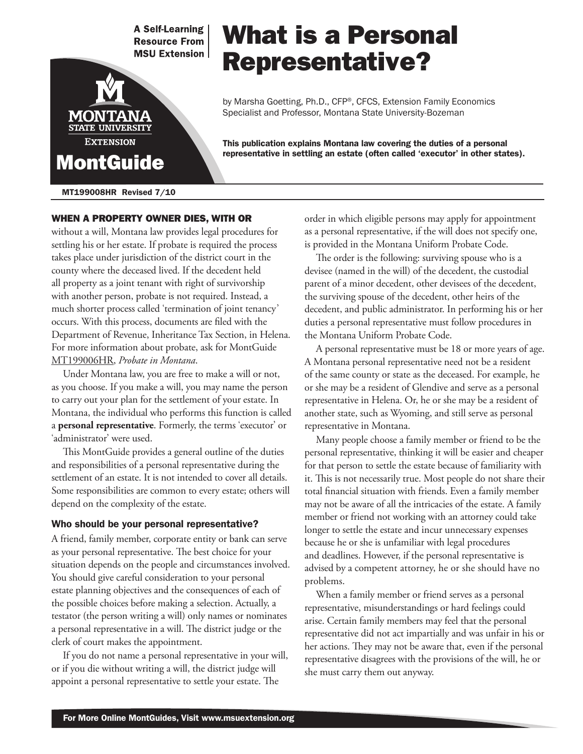**A Self-Learning Resource From MSU Extension** 



#### MT199008HR Revised 7/10

When a property owner dies, with or without a will, Montana law provides legal procedures for settling his or her estate. If probate is required the process takes place under jurisdiction of the district court in the county where the deceased lived. If the decedent held all property as a joint tenant with right of survivorship with another person, probate is not required. Instead, a much shorter process called 'termination of joint tenancy' occurs. With this process, documents are filed with the Department of Revenue, Inheritance Tax Section, in Helena. For more information about probate, ask for MontGuide [MT199006HR](http://msuextension.org/publications/FamilyFinancialManagement/MT199006HR.pdf), *Probate in Montana*.

Under Montana law, you are free to make a will or not, as you choose. If you make a will, you may name the person to carry out your plan for the settlement of your estate. In Montana, the individual who performs this function is called a **personal representative**. Formerly, the terms 'executor' or 'administrator' were used.

This MontGuide provides a general outline of the duties and responsibilities of a personal representative during the settlement of an estate. It is not intended to cover all details. Some responsibilities are common to every estate; others will depend on the complexity of the estate.

#### Who should be your personal representative?

A friend, family member, corporate entity or bank can serve as your personal representative. The best choice for your situation depends on the people and circumstances involved. You should give careful consideration to your personal estate planning objectives and the consequences of each of the possible choices before making a selection. Actually, a testator (the person writing a will) only names or nominates a personal representative in a will. The district judge or the clerk of court makes the appointment.

If you do not name a personal representative in your will, or if you die without writing a will, the district judge will appoint a personal representative to settle your estate. The

# order in which eligible persons may apply for appointment as a personal representative, if the will does not specify one, is provided in the Montana Uniform Probate Code.

This publication explains Montana law covering the duties of a personal representative in settling an estate (often called 'executor' in other states).

by Marsha Goetting, Ph.D., CFP®, CFCS, Extension Family Economics

Specialist and Professor, Montana State University-Bozeman

What is a Personal

Representative?

The order is the following: surviving spouse who is a devisee (named in the will) of the decedent, the custodial parent of a minor decedent, other devisees of the decedent, the surviving spouse of the decedent, other heirs of the decedent, and public administrator. In performing his or her duties a personal representative must follow procedures in the Montana Uniform Probate Code.

A personal representative must be 18 or more years of age. A Montana personal representative need not be a resident of the same county or state as the deceased. For example, he or she may be a resident of Glendive and serve as a personal representative in Helena. Or, he or she may be a resident of another state, such as Wyoming, and still serve as personal representative in Montana.

Many people choose a family member or friend to be the personal representative, thinking it will be easier and cheaper for that person to settle the estate because of familiarity with it. This is not necessarily true. Most people do not share their total financial situation with friends. Even a family member may not be aware of all the intricacies of the estate. A family member or friend not working with an attorney could take longer to settle the estate and incur unnecessary expenses because he or she is unfamiliar with legal procedures and deadlines. However, if the personal representative is advised by a competent attorney, he or she should have no problems.

When a family member or friend serves as a personal representative, misunderstandings or hard feelings could arise. Certain family members may feel that the personal representative did not act impartially and was unfair in his or her actions. They may not be aware that, even if the personal representative disagrees with the provisions of the will, he or she must carry them out anyway.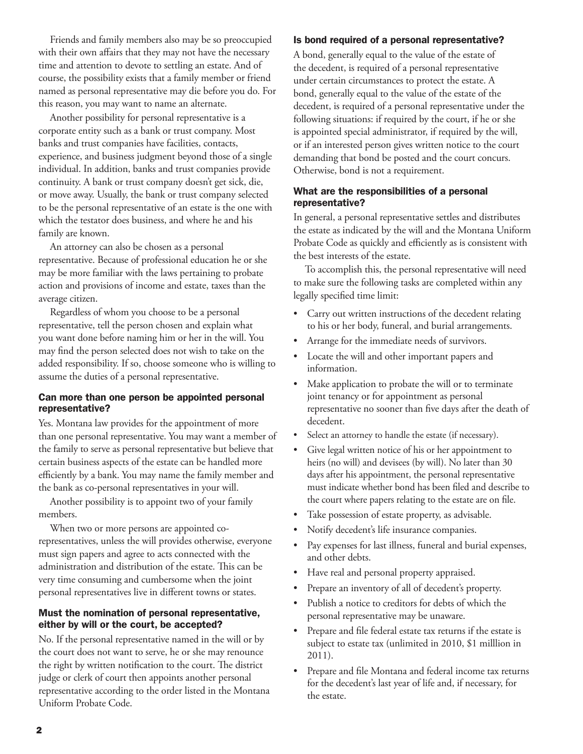Friends and family members also may be so preoccupied with their own affairs that they may not have the necessary time and attention to devote to settling an estate. And of course, the possibility exists that a family member or friend named as personal representative may die before you do. For this reason, you may want to name an alternate.

Another possibility for personal representative is a corporate entity such as a bank or trust company. Most banks and trust companies have facilities, contacts, experience, and business judgment beyond those of a single individual. In addition, banks and trust companies provide continuity. A bank or trust company doesn't get sick, die, or move away. Usually, the bank or trust company selected to be the personal representative of an estate is the one with which the testator does business, and where he and his family are known.

An attorney can also be chosen as a personal representative. Because of professional education he or she may be more familiar with the laws pertaining to probate action and provisions of income and estate, taxes than the average citizen.

Regardless of whom you choose to be a personal representative, tell the person chosen and explain what you want done before naming him or her in the will. You may find the person selected does not wish to take on the added responsibility. If so, choose someone who is willing to assume the duties of a personal representative.

### Can more than one person be appointed personal representative?

Yes. Montana law provides for the appointment of more than one personal representative. You may want a member of the family to serve as personal representative but believe that certain business aspects of the estate can be handled more efficiently by a bank. You may name the family member and the bank as co-personal representatives in your will.

Another possibility is to appoint two of your family members.

When two or more persons are appointed corepresentatives, unless the will provides otherwise, everyone must sign papers and agree to acts connected with the administration and distribution of the estate. This can be very time consuming and cumbersome when the joint personal representatives live in different towns or states.

### Must the nomination of personal representative, either by will or the court, be accepted?

No. If the personal representative named in the will or by the court does not want to serve, he or she may renounce the right by written notification to the court. The district judge or clerk of court then appoints another personal representative according to the order listed in the Montana Uniform Probate Code.

# Is bond required of a personal representative?

A bond, generally equal to the value of the estate of the decedent, is required of a personal representative under certain circumstances to protect the estate. A bond, generally equal to the value of the estate of the decedent, is required of a personal representative under the following situations: if required by the court, if he or she is appointed special administrator, if required by the will, or if an interested person gives written notice to the court demanding that bond be posted and the court concurs. Otherwise, bond is not a requirement.

## What are the responsibilities of a personal representative?

In general, a personal representative settles and distributes the estate as indicated by the will and the Montana Uniform Probate Code as quickly and efficiently as is consistent with the best interests of the estate.

To accomplish this, the personal representative will need to make sure the following tasks are completed within any legally specified time limit:

- Carry out written instructions of the decedent relating to his or her body, funeral, and burial arrangements.
- Arrange for the immediate needs of survivors.
- Locate the will and other important papers and information.
- Make application to probate the will or to terminate joint tenancy or for appointment as personal representative no sooner than five days after the death of decedent.
- Select an attorney to handle the estate (if necessary).
- Give legal written notice of his or her appointment to heirs (no will) and devisees (by will). No later than 30 days after his appointment, the personal representative must indicate whether bond has been filed and describe to the court where papers relating to the estate are on file.
- Take possession of estate property, as advisable.
- Notify decedent's life insurance companies.
- Pay expenses for last illness, funeral and burial expenses, and other debts.
- Have real and personal property appraised.
- Prepare an inventory of all of decedent's property.
- Publish a notice to creditors for debts of which the personal representative may be unaware.
- Prepare and file federal estate tax returns if the estate is subject to estate tax (unlimited in 2010, \$1 milllion in 2011).
- Prepare and file Montana and federal income tax returns for the decedent's last year of life and, if necessary, for the estate.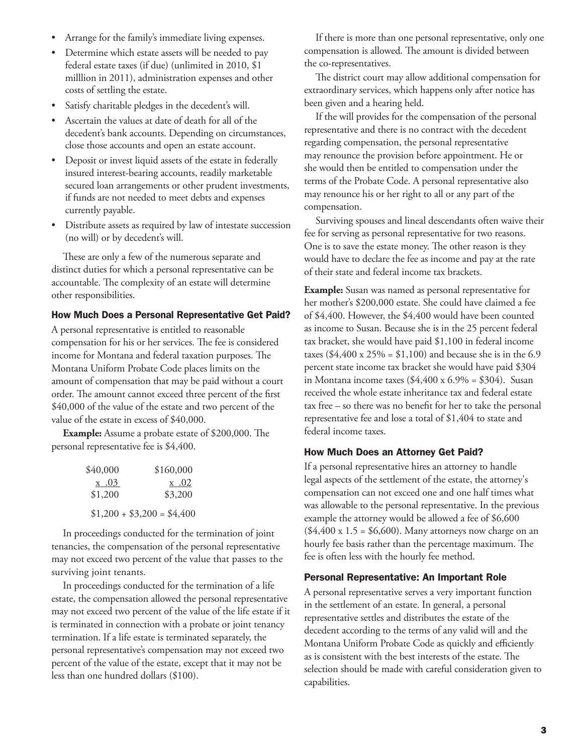- Arrange for the family's immediate living expenses.
- Determine which estate assets will be needed to pay federal estate taxes (if due) (unlimited in 2010, \$1 milllion in 2011), administration expenses and other costs of settling the estate.
- Satisfy charitable pledges in the decedent's will.
- Ascertain the values at date of death for all of the decedent's bank accounts. Depending on circumstances, close those accounts and open an estate account.
- Deposit or invest liquid assets of the estate in federally insured interest-bearing accounts, readily marketable secured loan arrangements or other prudent investments, if funds are not needed to meet debts and expenses currently payable.
- Distribute assets as required by law of intestate succession (no will) or by decedent's will.

These are only a few of the numerous separate and distinct duties for which a personal representative can be accountable. The complexity of an estate will determine other responsibilities.

#### How Much Does a Personal Representative Get Paid?

A personal representative is entitled to reasonable compensation for his or her services. The fee is considered income for Montana and federal taxation purposes. The Montana Uniform Probate Code places limits on the amount of compensation that may be paid without a court order. The amount cannot exceed three percent of the first \$40,000 of the value of the estate and two percent of the value of the estate in excess of \$40,000.

**Example:** Assume a probate estate of \$200,000. The personal representative fee is \$4,400.

| \$40,000 | \$160,000                  |
|----------|----------------------------|
| x .03    | x .02                      |
| \$1,200  | \$3,200                    |
|          | $$1,200 + $3,200 = $4,400$ |

In proceedings conducted for the termination of joint tenancies, the compensation of the personal representative may not exceed two percent of the value that passes to the surviving joint tenants.

In proceedings conducted for the termination of a life estate, the compensation allowed the personal representative may not exceed two percent of the value of the life estate if it is terminated in connection with a probate or joint tenancy termination. If a life estate is terminated separately, the personal representative's compensation may not exceed two percent of the value of the estate, except that it may not be less than one hundred dollars (\$100).

If there is more than one personal representative, only one compensation is allowed. The amount is divided between the co-representatives.

The district court may allow additional compensation for extraordinary services, which happens only after notice has been given and a hearing held.

If the will provides for the compensation of the personal representative and there is no contract with the decedent regarding compensation, the personal representative may renounce the provision before appointment. He or she would then be entitled to compensation under the terms of the Probate Code. A personal representative also may renounce his or her right to all or any part of the compensation.

Surviving spouses and lineal descendants often waive their fee for serving as personal representative for two reasons. One is to save the estate money. The other reason is they would have to declare the fee as income and pay at the rate of their state and federal income tax brackets.

**Example:** Susan was named as personal representative for her mother's \$200,000 estate. She could have claimed a fee of \$4,400. However, the \$4,400 would have been counted as income to Susan. Because she is in the 25 percent federal tax bracket, she would have paid \$1,100 in federal income taxes (\$4,400 x 25% = \$1,100) and because she is in the 6.9 percent state income tax bracket she would have paid \$304 in Montana income taxes  $(\$4,400 \times 6.9\% = \$304)$ . Susan received the whole estate inheritance tax and federal estate tax free – so there was no benefit for her to take the personal representative fee and lose a total of \$1,404 to state and federal income taxes.

#### How Much Does an Attorney Get Paid?

If a personal representative hires an attorney to handle legal aspects of the settlement of the estate, the attorney's compensation can not exceed one and one half times what was allowable to the personal representative. In the previous example the attorney would be allowed a fee of \$6,600  $($4,400 \times 1.5 = $6,600)$ . Many attorneys now charge on an hourly fee basis rather than the percentage maximum. The fee is often less with the hourly fee method.

#### Personal Representative: An Important Role

A personal representative serves a very important function in the settlement of an estate. In general, a personal representative settles and distributes the estate of the decedent according to the terms of any valid will and the Montana Uniform Probate Code as quickly and efficiently as is consistent with the best interests of the estate. The selection should be made with careful consideration given to capabilities.